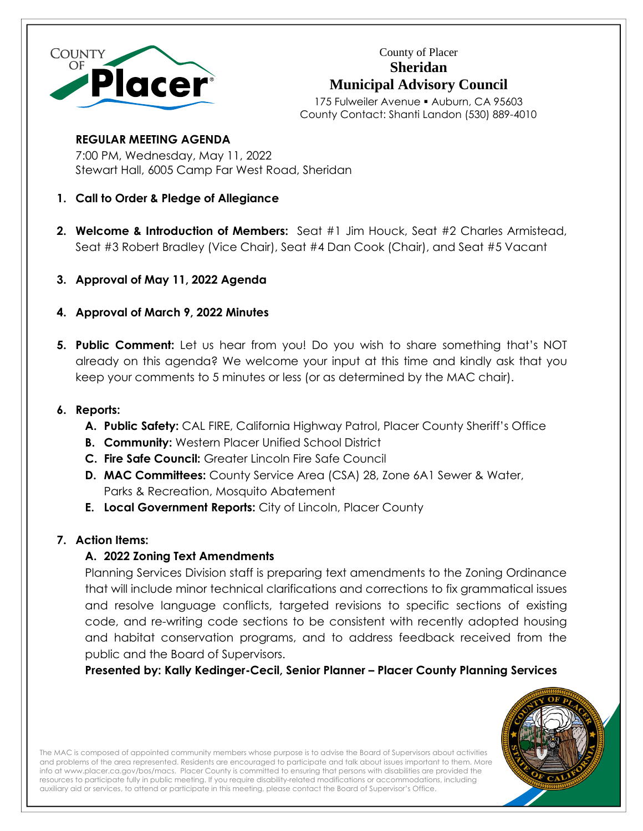

County of Placer **Sheridan Municipal Advisory Council**

175 Fulweiler Avenue · Auburn, CA 95603 County Contact: Shanti Landon (530) 889-4010

## **REGULAR MEETING AGENDA**

7:00 PM, Wednesday, May 11, 2022 Stewart Hall, 6005 Camp Far West Road, Sheridan

- **1. Call to Order & Pledge of Allegiance**
- **2. Welcome & Introduction of Members:** Seat #1 Jim Houck, Seat #2 Charles Armistead, Seat #3 Robert Bradley (Vice Chair), Seat #4 Dan Cook (Chair), and Seat #5 Vacant
- **3. Approval of May 11, 2022 Agenda**
- **4. Approval of March 9, 2022 Minutes**
- **5. Public Comment:** Let us hear from you! Do you wish to share something that's NOT already on this agenda? We welcome your input at this time and kindly ask that you keep your comments to 5 minutes or less (or as determined by the MAC chair).

## **6. Reports:**

- **A. Public Safety:** CAL FIRE, California Highway Patrol, Placer County Sheriff's Office
- **B. Community:** Western Placer Unified School District
- **C. Fire Safe Council:** Greater Lincoln Fire Safe Council
- **D. MAC Committees:** County Service Area (CSA) 28, Zone 6A1 Sewer & Water, Parks & Recreation, Mosquito Abatement
- **E. Local Government Reports:** City of Lincoln, Placer County

# **7. Action Items:**

# **A. 2022 Zoning Text Amendments**

Planning Services Division staff is preparing text amendments to the Zoning Ordinance that will include minor technical clarifications and corrections to fix grammatical issues and resolve language conflicts, targeted revisions to specific sections of existing code, and re-writing code sections to be consistent with recently adopted housing and habitat conservation programs, and to address feedback received from the public and the Board of Supervisors.

**Presented by: Kally Kedinger-Cecil, Senior Planner – Placer County Planning Services**



The MAC is composed of appointed community members whose purpose is to advise the Board of Supervisors about activities and problems of the area represented. Residents are encouraged to participate and talk about issues important to them. More info a[t www.placer.ca.gov/bos/macs.](http://www.placer.ca.gov/bos/macs) Placer County is committed to ensuring that persons with disabilities are provided the resources to participate fully in public meeting. If you require disability-related modifications or accommodations, including auxiliary aid or services, to attend or participate in this meeting, please contact the Board of Supervisor's Office.